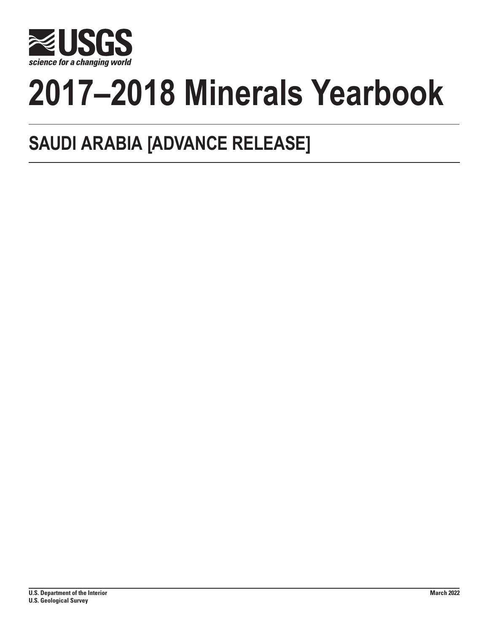

# **2017–2018 Minerals Yearbook**

# **SAUDI ARABIA [ADVANCE RELEASE]**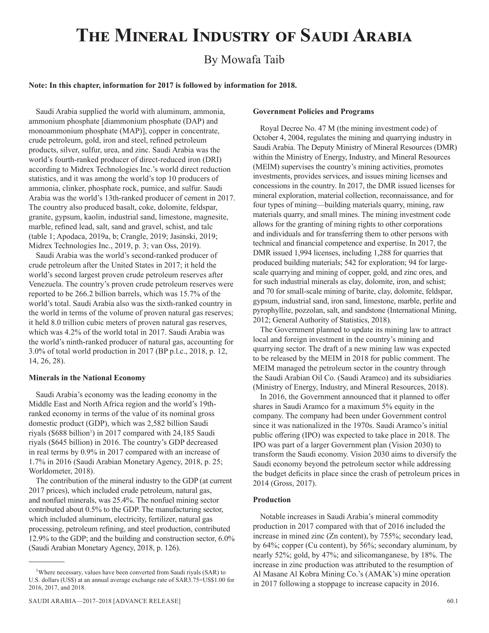# **The Mineral Industry of Saudi Arabia**

# By Mowafa Taib

# **Note: In this chapter, information for 2017 is followed by information for 2018.**

Saudi Arabia supplied the world with aluminum, ammonia, ammonium phosphate [diammonium phosphate (DAP) and monoammonium phosphate (MAP)], copper in concentrate, crude petroleum, gold, iron and steel, refined petroleum products, silver, sulfur, urea, and zinc. Saudi Arabia was the world's fourth-ranked producer of direct-reduced iron (DRI) according to Midrex Technologies Inc.'s world direct reduction statistics, and it was among the world's top 10 producers of ammonia, clinker, phosphate rock, pumice, and sulfur. Saudi Arabia was the world's 13th-ranked producer of cement in 2017. The country also produced basalt, coke, dolomite, feldspar, granite, gypsum, kaolin, industrial sand, limestone, magnesite, marble, refined lead, salt, sand and gravel, schist, and talc (table 1; Apodaca, 2019a, b; Crangle, 2019; Jasinski, 2019; Midrex Technologies Inc., 2019, p. 3; van Oss, 2019).

Saudi Arabia was the world's second-ranked producer of crude petroleum after the United States in 2017; it held the world's second largest proven crude petroleum reserves after Venezuela. The country's proven crude petroleum reserves were reported to be 266.2 billion barrels, which was 15.7% of the world's total. Saudi Arabia also was the sixth-ranked country in the world in terms of the volume of proven natural gas reserves; it held 8.0 trillion cubic meters of proven natural gas reserves, which was 4.2% of the world total in 2017. Saudi Arabia was the world's ninth-ranked producer of natural gas, accounting for 3.0% of total world production in 2017 (BP p.l.c., 2018, p. 12, 14, 26, 28).

## **Minerals in the National Economy**

Saudi Arabia's economy was the leading economy in the Middle East and North Africa region and the world's 19thranked economy in terms of the value of its nominal gross domestic product (GDP), which was 2,582 billion Saudi riyals (\$688 billion<sup>1</sup>) in 2017 compared with 24,185 Saudi riyals (\$645 billion) in 2016. The country's GDP decreased in real terms by 0.9% in 2017 compared with an increase of 1.7% in 2016 (Saudi Arabian Monetary Agency, 2018, p. 25; Worldometer, 2018).

The contribution of the mineral industry to the GDP (at current 2017 prices), which included crude petroleum, natural gas, and nonfuel minerals, was 25.4%. The nonfuel mining sector contributed about 0.5% to the GDP. The manufacturing sector, which included aluminum, electricity, fertilizer, natural gas processing, petroleum refining, and steel production, contributed 12.9% to the GDP; and the building and construction sector, 6.0% (Saudi Arabian Monetary Agency, 2018, p. 126).

#### **Government Policies and Programs**

Royal Decree No. 47 M (the mining investment code) of October 4, 2004, regulates the mining and quarrying industry in Saudi Arabia. The Deputy Ministry of Mineral Resources (DMR) within the Ministry of Energy, Industry, and Mineral Resources (MEIM) supervises the country's mining activities, promotes investments, provides services, and issues mining licenses and concessions in the country. In 2017, the DMR issued licenses for mineral exploration, material collection, reconnaissance, and for four types of mining—building materials quarry, mining, raw materials quarry, and small mines. The mining investment code allows for the granting of mining rights to other corporations and individuals and for transferring them to other persons with technical and financial competence and expertise. In 2017, the DMR issued 1,994 licenses, including 1,288 for quarries that produced building materials; 542 for exploration; 94 for largescale quarrying and mining of copper, gold, and zinc ores, and for such industrial minerals as clay, dolomite, iron, and schist; and 70 for small-scale mining of barite, clay, dolomite, feldspar, gypsum, industrial sand, iron sand, limestone, marble, perlite and pyrophyllite, pozzolan, salt, and sandstone (International Mining, 2012; General Authority of Statistics, 2018).

The Government planned to update its mining law to attract local and foreign investment in the country's mining and quarrying sector. The draft of a new mining law was expected to be released by the MEIM in 2018 for public comment. The MEIM managed the petroleum sector in the country through the Saudi Arabian Oil Co. (Saudi Aramco) and its subsidiaries (Ministry of Energy, Industry, and Mineral Resources, 2018).

In 2016, the Government announced that it planned to offer shares in Saudi Aramco for a maximum 5% equity in the company. The company had been under Government control since it was nationalized in the 1970s. Saudi Aramco's initial public offering (IPO) was expected to take place in 2018. The IPO was part of a larger Government plan (Vision 2030) to transform the Saudi economy. Vision 2030 aims to diversify the Saudi economy beyond the petroleum sector while addressing the budget deficits in place since the crash of petroleum prices in 2014 (Gross, 2017).

# **Production**

Notable increases in Saudi Arabia's mineral commodity production in 2017 compared with that of 2016 included the increase in mined zinc (Zn content), by 755%; secondary lead, by 64%; copper (Cu content), by 56%; secondary aluminum, by nearly 52%; gold, by 47%; and silicomanganese, by 18%. The increase in zinc production was attributed to the resumption of Al Masane Al Kobra Mining Co.'s (AMAK's) mine operation in 2017 following a stoppage to increase capacity in 2016.

<sup>&</sup>lt;sup>1</sup>Where necessary, values have been converted from Saudi riyals (SAR) to U.S. dollars (US\$) at an annual average exchange rate of SAR3.75=US\$1.00 for 2016, 2017, and 2018.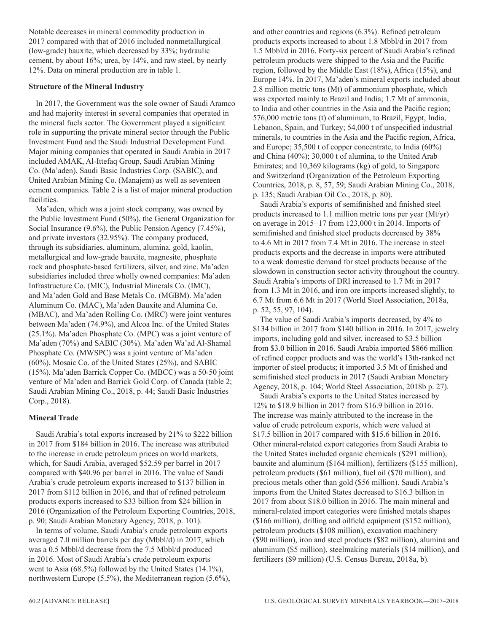Notable decreases in mineral commodity production in 2017 compared with that of 2016 included nonmetallurgical (low-grade) bauxite, which decreased by 33%; hydraulic cement, by about 16%; urea, by 14%, and raw steel, by nearly 12%. Data on mineral production are in table 1.

# **Structure of the Mineral Industry**

In 2017, the Government was the sole owner of Saudi Aramco and had majority interest in several companies that operated in the mineral fuels sector. The Government played a significant role in supporting the private mineral sector through the Public Investment Fund and the Saudi Industrial Development Fund. Major mining companies that operated in Saudi Arabia in 2017 included AMAK, Al-Ittefaq Group, Saudi Arabian Mining Co. (Ma'aden), Saudi Basic Industries Corp. (SABIC), and United Arabian Mining Co. (Manajem) as well as seventeen cement companies. Table 2 is a list of major mineral production facilities.

Ma'aden, which was a joint stock company, was owned by the Public Investment Fund (50%), the General Organization for Social Insurance (9.6%), the Public Pension Agency (7.45%), and private investors (32.95%). The company produced, through its subsidiaries, aluminum, alumina, gold, kaolin, metallurgical and low-grade bauxite, magnesite, phosphate rock and phosphate-based fertilizers, silver, and zinc. Ma'aden subsidiaries included three wholly owned companies: Ma'aden Infrastructure Co. (MIC), Industrial Minerals Co. (IMC), and Ma'aden Gold and Base Metals Co. (MGBM). Ma'aden Aluminum Co. (MAC), Ma'aden Bauxite and Alumina Co. (MBAC), and Ma'aden Rolling Co. (MRC) were joint ventures between Ma'aden (74.9%), and Alcoa Inc. of the United States (25.1%). Ma'aden Phosphate Co. (MPC) was a joint venture of Ma'aden (70%) and SABIC (30%). Ma'aden Wa'ad Al-Shamal Phosphate Co. (MWSPC) was a joint venture of Ma'aden (60%), Mosaic Co. of the United States (25%), and SABIC (15%). Ma'aden Barrick Copper Co. (MBCC) was a 50-50 joint venture of Ma'aden and Barrick Gold Corp. of Canada (table 2; Saudi Arabian Mining Co., 2018, p. 44; Saudi Basic Industries Corp., 2018).

# **Mineral Trade**

Saudi Arabia's total exports increased by 21% to \$222 billion in 2017 from \$184 billion in 2016. The increase was attributed to the increase in crude petroleum prices on world markets, which, for Saudi Arabia, averaged \$52.59 per barrel in 2017 compared with \$40.96 per barrel in 2016. The value of Saudi Arabia's crude petroleum exports increased to \$137 billion in 2017 from \$112 billion in 2016, and that of refined petroleum products exports increased to \$33 billion from \$24 billion in 2016 (Organization of the Petroleum Exporting Countries, 2018, p. 90; Saudi Arabian Monetary Agency, 2018, p. 101).

In terms of volume, Saudi Arabia's crude petroleum exports averaged 7.0 million barrels per day (Mbbl/d) in 2017, which was a 0.5 Mbbl/d decrease from the 7.5 Mbbl/d produced in 2016. Most of Saudi Arabia's crude petroleum exports went to Asia (68.5%) followed by the United States (14.1%), northwestern Europe (5.5%), the Mediterranean region (5.6%), and other countries and regions (6.3%). Refined petroleum products exports increased to about 1.8 Mbbl/d in 2017 from 1.5 Mbbl/d in 2016. Forty-six percent of Saudi Arabia's refined petroleum products were shipped to the Asia and the Pacific region, followed by the Middle East (18%), Africa (15%), and Europe 14%. In 2017, Ma'aden's mineral exports included about 2.8 million metric tons (Mt) of ammonium phosphate, which was exported mainly to Brazil and India; 1.7 Mt of ammonia, to India and other countries in the Asia and the Pacific region; 576,000 metric tons (t) of aluminum, to Brazil, Egypt, India, Lebanon, Spain, and Turkey; 54,000 t of unspecified industrial minerals, to countries in the Asia and the Pacific region, Africa, and Europe; 35,500 t of copper concentrate, to India (60%) and China (40%); 30,000 t of alumina, to the United Arab Emirates; and 10,369 kilograms (kg) of gold, to Singapore and Switzerland (Organization of the Petroleum Exporting Countries, 2018, p. 8, 57, 59; Saudi Arabian Mining Co., 2018, p. 135; Saudi Arabian Oil Co., 2018, p. 80).

Saudi Arabia's exports of semifinished and finished steel products increased to 1.1 million metric tons per year (Mt/yr) on average in 2015−17 from 123,000 t in 2014. Imports of semifinished and finished steel products decreased by 38% to 4.6 Mt in 2017 from 7.4 Mt in 2016. The increase in steel products exports and the decrease in imports were attributed to a weak domestic demand for steel products because of the slowdown in construction sector activity throughout the country. Saudi Arabia's imports of DRI increased to 1.7 Mt in 2017 from 1.3 Mt in 2016, and iron ore imports increased slightly, to 6.7 Mt from 6.6 Mt in 2017 (World Steel Association, 2018a, p. 52, 55, 97, 104).

The value of Saudi Arabia's imports decreased, by 4% to \$134 billion in 2017 from \$140 billion in 2016. In 2017, jewelry imports, including gold and silver, increased to \$3.5 billion from \$3.0 billion in 2016. Saudi Arabia imported \$866 million of refined copper products and was the world's 13th-ranked net importer of steel products; it imported 3.5 Mt of finished and semifinished steel products in 2017 (Saudi Arabian Monetary Agency, 2018, p. 104; World Steel Association, 2018b p. 27).

Saudi Arabia's exports to the United States increased by 12% to \$18.9 billion in 2017 from \$16.9 billion in 2016. The increase was mainly attributed to the increase in the value of crude petroleum exports, which were valued at \$17.5 billion in 2017 compared with \$15.6 billion in 2016. Other mineral-related export categories from Saudi Arabia to the United States included organic chemicals (\$291 million), bauxite and aluminum (\$164 million), fertilizers (\$155 million), petroleum products (\$61 million), fuel oil (\$70 million), and precious metals other than gold (\$56 million). Saudi Arabia's imports from the United States decreased to \$16.3 billion in 2017 from about \$18.0 billion in 2016. The main mineral and mineral-related import categories were finished metals shapes (\$166 million), drilling and oilfield equipment (\$152 million), petroleum products (\$108 million), excavation machinery (\$90 million), iron and steel products (\$82 million), alumina and aluminum (\$5 million), steelmaking materials (\$14 million), and fertilizers (\$9 million) (U.S. Census Bureau, 2018a, b).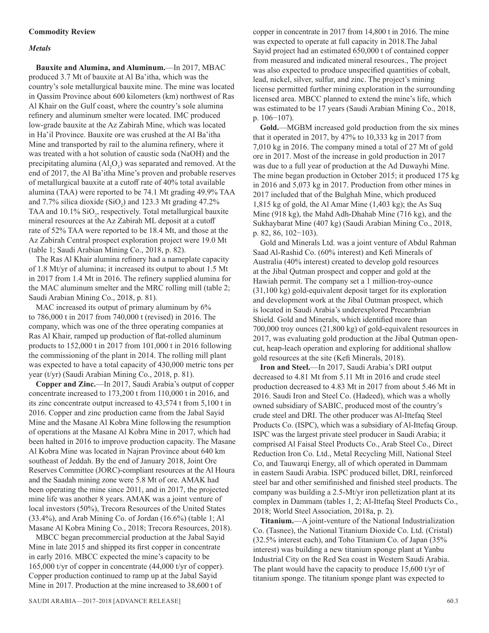# *Metals*

**Bauxite and Alumina, and Aluminum.**—In 2017, MBAC produced 3.7 Mt of bauxite at Al Ba'itha, which was the country's sole metallurgical bauxite mine. The mine was located in Qassim Province about 600 kilometers (km) northwest of Ras Al Khair on the Gulf coast, where the country's sole alumina refinery and aluminum smelter were located. IMC produced low-grade bauxite at the Az Zabirah Mine, which was located in Ha'il Province. Bauxite ore was crushed at the Al Ba'itha Mine and transported by rail to the alumina refinery, where it was treated with a hot solution of caustic soda (NaOH) and the precipitating alumina  $(Al_2O_3)$  was separated and removed. At the end of 2017, the Al Ba'itha Mine's proven and probable reserves of metallurgical bauxite at a cutoff rate of 40% total available alumina (TAA) were reported to be 74.1 Mt grading 49.9% TAA and 7.7% silica dioxide  $(SiO<sub>2</sub>)$  and 123.3 Mt grading 47.2% TAA and  $10.1\%$  SiO<sub>2</sub>, respectively. Total metallurgical bauxite mineral resources at the Az Zabirah ML deposit at a cutoff rate of 52% TAA were reported to be 18.4 Mt, and those at the Az Zabirah Central prospect exploration project were 19.0 Mt (table 1; Saudi Arabian Mining Co., 2018, p. 82).

The Ras Al Khair alumina refinery had a nameplate capacity of 1.8 Mt/yr of alumina; it increased its output to about 1.5 Mt in 2017 from 1.4 Mt in 2016. The refinery supplied alumina for the MAC aluminum smelter and the MRC rolling mill (table 2; Saudi Arabian Mining Co., 2018, p. 81).

MAC increased its output of primary aluminum by 6% to 786,000 t in 2017 from 740,000 t (revised) in 2016. The company, which was one of the three operating companies at Ras Al Khair, ramped up production of flat-rolled aluminum products to 152,000 t in 2017 from 101,000 t in 2016 following the commissioning of the plant in 2014. The rolling mill plant was expected to have a total capacity of 430,000 metric tons per year (t/yr) (Saudi Arabian Mining Co., 2018, p. 81).

**Copper and Zinc.**—In 2017, Saudi Arabia's output of copper concentrate increased to 173,200 t from 110,000 t in 2016, and its zinc concentrate output increased to 43,574 t from 5,100 t in 2016. Copper and zinc production came from the Jabal Sayid Mine and the Masane Al Kobra Mine following the resumption of operations at the Masane Al Kobra Mine in 2017, which had been halted in 2016 to improve production capacity. The Masane Al Kobra Mine was located in Najran Province about 640 km southeast of Jeddah. By the end of January 2018, Joint Ore Reserves Committee (JORC)-compliant resources at the Al Houra and the Saadah mining zone were 5.8 Mt of ore. AMAK had been operating the mine since 2011, and in 2017, the projected mine life was another 8 years. AMAK was a joint venture of local investors (50%), Trecora Resources of the United States (33.4%), and Arab Mining Co. of Jordan (16.6%) (table 1; Al Masane Al Kobra Mining Co., 2018; Trecora Resources, 2018).

MBCC began precommercial production at the Jabal Sayid Mine in late 2015 and shipped its first copper in concentrate in early 2016. MBCC expected the mine's capacity to be 165,000 t/yr of copper in concentrate (44,000 t/yr of copper). Copper production continued to ramp up at the Jabal Sayid Mine in 2017. Production at the mine increased to 38,600 t of

copper in concentrate in 2017 from 14,800 t in 2016. The mine was expected to operate at full capacity in 2018.The Jabal Sayid project had an estimated 650,000 t of contained copper from measured and indicated mineral resources., The project was also expected to produce unspecified quantities of cobalt, lead, nickel, silver, sulfur, and zinc. The project's mining license permitted further mining exploration in the surrounding licensed area. MBCC planned to extend the mine's life, which was estimated to be 17 years (Saudi Arabian Mining Co., 2018, p. 106−107).

**Gold.**—MGBM increased gold production from the six mines that it operated in 2017, by 47% to 10,333 kg in 2017 from 7,010 kg in 2016. The company mined a total of 27 Mt of gold ore in 2017. Most of the increase in gold production in 2017 was due to a full year of production at the Ad Duwayhi Mine. The mine began production in October 2015; it produced 175 kg in 2016 and 5,073 kg in 2017. Production from other mines in 2017 included that of the Bulghah Mine, which produced 1,815 kg of gold, the Al Amar Mine (1,403 kg); the As Suq Mine (918 kg), the Mahd Adh-Dhahab Mine (716 kg), and the Sukhaybarat Mine (407 kg) (Saudi Arabian Mining Co., 2018, p. 82, 86, 102−103).

Gold and Minerals Ltd. was a joint venture of Abdul Rahman Saad Al-Rashid Co. (60% interest) and Kefi Minerals of Australia (40% interest) created to develop gold resources at the Jibal Qutman prospect and copper and gold at the Hawiah permit. The company set a 1 million-troy-ounce (31,100 kg) gold-equivalent deposit target for its exploration and development work at the Jibal Outman prospect, which is located in Saudi Arabia's underexplored Precambrian Shield. Gold and Minerals, which identified more than 700,000 troy ounces (21,800 kg) of gold-equivalent resources in 2017, was evaluating gold production at the Jibal Qutman opencut, heap-leach operation and exploring for additional shallow gold resources at the site (Kefi Minerals, 2018).

**Iron and Steel.**—In 2017, Saudi Arabia's DRI output decreased to 4.81 Mt from 5.11 Mt in 2016 and crude steel production decreased to 4.83 Mt in 2017 from about 5.46 Mt in 2016. Saudi Iron and Steel Co. (Hadeed), which was a wholly owned subsidiary of SABIC, produced most of the country's crude steel and DRI. The other producer was Al-Ittefaq Steel Products Co. (ISPC), which was a subsidiary of Al-Ittefaq Group. ISPC was the largest private steel producer in Saudi Arabia; it comprised Al Faisal Steel Products Co., Arab Steel Co., Direct Reduction Iron Co. Ltd., Metal Recycling Mill, National Steel Co, and Tauwarqi Energy, all of which operated in Dammam in eastern Saudi Arabia. ISPC produced billet, DRI, reinforced steel bar and other semifinished and finished steel products. The company was building a 2.5-Mt/yr iron pelletization plant at its complex in Dammam (tables 1, 2; Al-Ittefaq Steel Products Co., 2018; World Steel Association, 2018a, p. 2).

**Titanium.**—A joint-venture of the National Industrialization Co. (Tasnee), the National Titanium Dioxide Co. Ltd. (Cristal) (32.5% interest each), and Toho Titanium Co. of Japan (35% interest) was building a new titanium sponge plant at Yanbu Industrial City on the Red Sea coast in Western Saudi Arabia. The plant would have the capacity to produce 15,600 t/yr of titanium sponge. The titanium sponge plant was expected to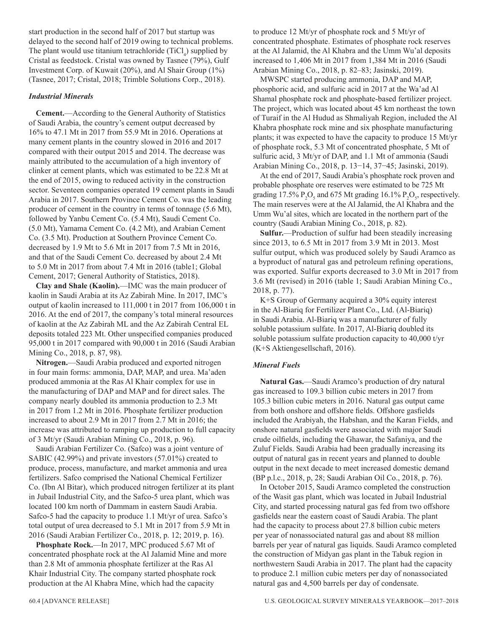start production in the second half of 2017 but startup was delayed to the second half of 2019 owing to technical problems. The plant would use titanium tetrachloride  $(TiCl<sub>4</sub>)$  supplied by Cristal as feedstock. Cristal was owned by Tasnee (79%), Gulf Investment Corp. of Kuwait (20%), and Al Shair Group (1%) (Tasnee, 2017; Cristal, 2018; Trimble Solutions Corp., 2018).

# *Industrial Minerals*

**Cement.**—According to the General Authority of Statistics of Saudi Arabia, the country's cement output decreased by 16% to 47.1 Mt in 2017 from 55.9 Mt in 2016. Operations at many cement plants in the country slowed in 2016 and 2017 compared with their output 2015 and 2014. The decrease was mainly attributed to the accumulation of a high inventory of clinker at cement plants, which was estimated to be 22.8 Mt at the end of 2015, owing to reduced activity in the construction sector. Seventeen companies operated 19 cement plants in Saudi Arabia in 2017. Southern Province Cement Co. was the leading producer of cement in the country in terms of tonnage (5.6 Mt), followed by Yanbu Cement Co. (5.4 Mt), Saudi Cement Co. (5.0 Mt), Yamama Cement Co. (4.2 Mt), and Arabian Cement Co. (3.5 Mt). Production at Southern Province Cement Co. decreased by 1.9 Mt to 5.6 Mt in 2017 from 7.5 Mt in 2016, and that of the Saudi Cement Co. decreased by about 2.4 Mt to 5.0 Mt in 2017 from about 7.4 Mt in 2016 (table1; Global Cement, 2017; General Authority of Statistics, 2018).

**Clay and Shale (Kaolin).**—IMC was the main producer of kaolin in Saudi Arabia at its Az Zabirah Mine. In 2017, IMC's output of kaolin increased to 111,000 t in 2017 from 106,000 t in 2016. At the end of 2017, the company's total mineral resources of kaolin at the Az Zabirah ML and the Az Zabirah Central EL deposits totaled 223 Mt. Other unspecified companies produced 95,000 t in 2017 compared with 90,000 t in 2016 (Saudi Arabian Mining Co., 2018, p. 87, 98).

**Nitrogen.**—Saudi Arabia produced and exported nitrogen in four main forms: ammonia, DAP, MAP, and urea. Ma'aden produced ammonia at the Ras Al Khair complex for use in the manufacturing of DAP and MAP and for direct sales. The company nearly doubled its ammonia production to 2.3 Mt in 2017 from 1.2 Mt in 2016. Phosphate fertilizer production increased to about 2.9 Mt in 2017 from 2.7 Mt in 2016; the increase was attributed to ramping up production to full capacity of 3 Mt/yr (Saudi Arabian Mining Co., 2018, p. 96).

Saudi Arabian Fertilizer Co. (Safco) was a joint venture of SABIC (42.99%) and private investors (57.01%) created to produce, process, manufacture, and market ammonia and urea fertilizers. Safco comprised the National Chemical Fertilizer Co. (Ibn Al Bitar), which produced nitrogen fertilizer at its plant in Jubail Industrial City, and the Safco-5 urea plant, which was located 100 km north of Dammam in eastern Saudi Arabia. Safco-5 had the capacity to produce 1.1 Mt/yr of urea. Safco's total output of urea decreased to 5.1 Mt in 2017 from 5.9 Mt in 2016 (Saudi Arabian Fertilizer Co., 2018, p. 12; 2019, p. 16).

**Phosphate Rock.**—In 2017, MPC produced 5.67 Mt of concentrated phosphate rock at the Al Jalamid Mine and more than 2.8 Mt of ammonia phosphate fertilizer at the Ras Al Khair Industrial City. The company started phosphate rock production at the Al Khabra Mine, which had the capacity

to produce 12 Mt/yr of phosphate rock and 5 Mt/yr of concentrated phosphate. Estimates of phosphate rock reserves at the Al Jalamid, the Al Khabra and the Umm Wu'al deposits increased to 1,406 Mt in 2017 from 1,384 Mt in 2016 (Saudi Arabian Mining Co., 2018, p. 82–83; Jasinski, 2019).

MWSPC started producing ammonia, DAP and MAP, phosphoric acid, and sulfuric acid in 2017 at the Wa'ad Al Shamal phosphate rock and phosphate-based fertilizer project. The project, which was located about 45 km northeast the town of Turaif in the Al Hudud as Shmaliyah Region, included the Al Khabra phosphate rock mine and six phosphate manufacturing plants; it was expected to have the capacity to produce 15 Mt/yr of phosphate rock, 5.3 Mt of concentrated phosphate, 5 Mt of sulfuric acid, 3 Mt/yr of DAP, and 1.1 Mt of ammonia (Saudi Arabian Mining Co., 2018, p. 13−14, 37−45; Jasinski, 2019).

At the end of 2017, Saudi Arabia's phosphate rock proven and probable phosphate ore reserves were estimated to be 725 Mt grading 17.5%  $P_2O_5$  and 675 Mt grading 16.1%  $P_2O_5$ , respectively. The main reserves were at the Al Jalamid, the Al Khabra and the Umm Wu'al sites, which are located in the northern part of the country (Saudi Arabian Mining Co., 2018, p. 82).

**Sulfur.**—Production of sulfur had been steadily increasing since 2013, to 6.5 Mt in 2017 from 3.9 Mt in 2013. Most sulfur output, which was produced solely by Saudi Aramco as a byproduct of natural gas and petroleum refining operations, was exported. Sulfur exports decreased to 3.0 Mt in 2017 from 3.6 Mt (revised) in 2016 (table 1; Saudi Arabian Mining Co., 2018, p. 77).

K+S Group of Germany acquired a 30% equity interest in the Al-Biariq for Fertilizer Plant Co., Ltd. (Al-Biariq) in Saudi Arabia. Al-Biariq was a manufacturer of fully soluble potassium sulfate. In 2017, Al-Biariq doubled its soluble potassium sulfate production capacity to 40,000 t/yr (K+S Aktiengesellschaft, 2016).

# *Mineral Fuels*

**Natural Gas.**—Saudi Aramco's production of dry natural gas increased to 109.3 billion cubic meters in 2017 from 105.3 billion cubic meters in 2016. Natural gas output came from both onshore and offshore fields. Offshore gasfields included the Arabiyah, the Habshan, and the Karan Fields, and onshore natural gasfields were associated with major Saudi crude oilfields, including the Ghawar, the Safaniya, and the Zuluf Fields. Saudi Arabia had been gradually increasing its output of natural gas in recent years and planned to double output in the next decade to meet increased domestic demand (BP p.l.c., 2018, p, 28; Saudi Arabian Oil Co., 2018, p. 76).

In October 2015, Saudi Aramco completed the construction of the Wasit gas plant, which was located in Jubail Industrial City, and started processing natural gas fed from two offshore gasfields near the eastern coast of Saudi Arabia. The plant had the capacity to process about 27.8 billion cubic meters per year of nonassociated natural gas and about 88 million barrels per year of natural gas liquids. Saudi Aramco completed the construction of Midyan gas plant in the Tabuk region in northwestern Saudi Arabia in 2017. The plant had the capacity to produce 2.1 million cubic meters per day of nonassociated natural gas and 4,500 barrels per day of condensate.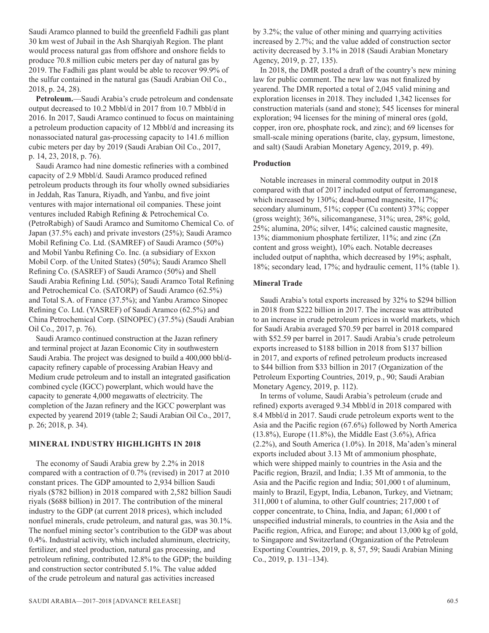Saudi Aramco planned to build the greenfield Fadhili gas plant 30 km west of Jubail in the Ash Sharqiyah Region. The plant would process natural gas from offshore and onshore fields to produce 70.8 million cubic meters per day of natural gas by 2019. The Fadhili gas plant would be able to recover 99.9% of the sulfur contained in the natural gas (Saudi Arabian Oil Co., 2018, p. 24, 28).

**Petroleum.**—Saudi Arabia's crude petroleum and condensate output decreased to 10.2 Mbbl/d in 2017 from 10.7 Mbbl/d in 2016. In 2017, Saudi Aramco continued to focus on maintaining a petroleum production capacity of 12 Mbbl/d and increasing its nonassociated natural gas-processing capacity to 141.6 million cubic meters per day by 2019 (Saudi Arabian Oil Co., 2017, p. 14, 23, 2018, p. 76).

Saudi Aramco had nine domestic refineries with a combined capacity of 2.9 Mbbl/d. Saudi Aramco produced refined petroleum products through its four wholly owned subsidiaries in Jeddah, Ras Tanura, Riyadh, and Yanbu, and five joint ventures with major international oil companies. These joint ventures included Rabigh Refining & Petrochemical Co. (PetroRabigh) of Saudi Aramco and Sumitomo Chemical Co. of Japan (37.5% each) and private investors (25%); Saudi Aramco Mobil Refining Co. Ltd. (SAMREF) of Saudi Aramco (50%) and Mobil Yanbu Refining Co. Inc. (a subsidiary of Exxon Mobil Corp. of the United States) (50%); Saudi Aramco Shell Refining Co. (SASREF) of Saudi Aramco (50%) and Shell Saudi Arabia Refining Ltd. (50%); Saudi Aramco Total Refining and Petrochemical Co. (SATORP) of Saudi Aramco (62.5%) and Total S.A. of France (37.5%); and Yanbu Aramco Sinopec Refining Co. Ltd. (YASREF) of Saudi Aramco (62.5%) and China Petrochemical Corp. (SINOPEC) (37.5%) (Saudi Arabian Oil Co., 2017, p. 76).

Saudi Aramco continued construction at the Jazan refinery and terminal project at Jazan Economic City in southwestern Saudi Arabia. The project was designed to build a 400,000 bbl/dcapacity refinery capable of processing Arabian Heavy and Medium crude petroleum and to install an integrated gasification combined cycle (IGCC) powerplant, which would have the capacity to generate 4,000 megawatts of electricity. The completion of the Jazan refinery and the IGCC powerplant was expected by yearend 2019 (table 2; Saudi Arabian Oil Co., 2017, p. 26; 2018, p. 34).

# **MINERAL INDUSTRY HIGHLIGHTS IN 2018**

The economy of Saudi Arabia grew by 2.2% in 2018 compared with a contraction of 0.7% (revised) in 2017 at 2010 constant prices. The GDP amounted to 2,934 billion Saudi riyals (\$782 billion) in 2018 compared with 2,582 billion Saudi riyals (\$688 billion) in 2017. The contribution of the mineral industry to the GDP (at current 2018 prices), which included nonfuel minerals, crude petroleum, and natural gas, was 30.1%. The nonfuel mining sector's contribution to the GDP was about 0.4%. Industrial activity, which included aluminum, electricity, fertilizer, and steel production, natural gas processing, and petroleum refining, contributed 12.8% to the GDP; the building and construction sector contributed 5.1%. The value added of the crude petroleum and natural gas activities increased

by 3.2%; the value of other mining and quarrying activities increased by 2.7%; and the value added of construction sector activity decreased by 3.1% in 2018 (Saudi Arabian Monetary Agency, 2019, p. 27, 135).

In 2018, the DMR posted a draft of the country's new mining law for public comment. The new law was not finalized by yearend. The DMR reported a total of 2,045 valid mining and exploration licenses in 2018. They included 1,342 licenses for construction materials (sand and stone); 545 licenses for mineral exploration; 94 licenses for the mining of mineral ores (gold, copper, iron ore, phosphate rock, and zinc); and 69 licenses for small-scale mining operations (barite, clay, gypsum, limestone, and salt) (Saudi Arabian Monetary Agency, 2019, p. 49).

# **Production**

Notable increases in mineral commodity output in 2018 compared with that of 2017 included output of ferromanganese, which increased by 130%; dead-burned magnesite, 117%; secondary aluminum, 51%; copper (Cu content) 37%; copper (gross weight); 36%, silicomanganese, 31%; urea, 28%; gold, 25%; alumina, 20%; silver, 14%; calcined caustic magnesite, 13%; diammonium phosphate fertilizer, 11%; and zinc (Zn content and gross weight), 10% each. Notable decreases included output of naphtha, which decreased by 19%; asphalt, 18%; secondary lead, 17%; and hydraulic cement, 11% (table 1).

# **Mineral Trade**

Saudi Arabia's total exports increased by 32% to \$294 billion in 2018 from \$222 billion in 2017. The increase was attributed to an increase in crude petroleum prices in world markets, which for Saudi Arabia averaged \$70.59 per barrel in 2018 compared with \$52.59 per barrel in 2017. Saudi Arabia's crude petroleum exports increased to \$188 billion in 2018 from \$137 billion in 2017, and exports of refined petroleum products increased to \$44 billion from \$33 billion in 2017 (Organization of the Petroleum Exporting Countries, 2019, p., 90; Saudi Arabian Monetary Agency, 2019, p. 112).

In terms of volume, Saudi Arabia's petroleum (crude and refined) exports averaged 9.34 Mbbl/d in 2018 compared with 8.4 Mbbl/d in 2017. Saudi crude petroleum exports went to the Asia and the Pacific region (67.6%) followed by North America (13.8%), Europe (11.8%), the Middle East (3.6%), Africa (2.2%), and South America (1.0%). In 2018, Ma'aden's mineral exports included about 3.13 Mt of ammonium phosphate, which were shipped mainly to countries in the Asia and the Pacific region, Brazil, and India; 1.35 Mt of ammonia, to the Asia and the Pacific region and India; 501,000 t of aluminum, mainly to Brazil, Egypt, India, Lebanon, Turkey, and Vietnam; 311,000 t of alumina, to other Gulf countries; 217,000 t of copper concentrate, to China, India, and Japan; 61,000 t of unspecified industrial minerals, to countries in the Asia and the Pacific region, Africa, and Europe; and about 13,000 kg of gold, to Singapore and Switzerland (Organization of the Petroleum Exporting Countries, 2019, p. 8, 57, 59; Saudi Arabian Mining Co., 2019, p. 131–134).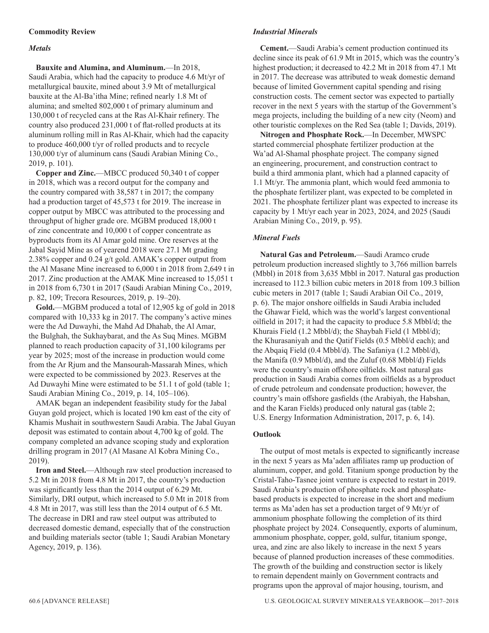# *Metals*

**Bauxite and Alumina, and Aluminum.**—In 2018, Saudi Arabia, which had the capacity to produce 4.6 Mt/yr of metallurgical bauxite, mined about 3.9 Mt of metallurgical bauxite at the Al-Ba'itha Mine; refined nearly 1.8 Mt of alumina; and smelted 802,000 t of primary aluminum and 130,000 t of recycled cans at the Ras Al-Khair refinery. The country also produced 231,000 t of flat-rolled products at its aluminum rolling mill in Ras Al-Khair, which had the capacity to produce 460,000 t/yr of rolled products and to recycle 130,000 t/yr of aluminum cans (Saudi Arabian Mining Co., 2019, p. 101).

**Copper and Zinc.**—MBCC produced 50,340 t of copper in 2018, which was a record output for the company and the country compared with 38,587 t in 2017; the company had a production target of 45,573 t for 2019. The increase in copper output by MBCC was attributed to the processing and throughput of higher grade ore. MGBM produced 18,000 t of zinc concentrate and 10,000 t of copper concentrate as byproducts from its Al Amar gold mine. Ore reserves at the Jabal Sayid Mine as of yearend 2018 were 27.1 Mt grading 2.38% copper and 0.24 g/t gold. AMAK's copper output from the Al Masane Mine increased to 6,000 t in 2018 from 2,649 t in 2017. Zinc production at the AMAK Mine increased to 15,051 t in 2018 from 6,730 t in 2017 (Saudi Arabian Mining Co., 2019, p. 82, 109; Trecora Resources, 2019, p. 19–20).

**Gold.**—MGBM produced a total of 12,905 kg of gold in 2018 compared with 10,333 kg in 2017. The company's active mines were the Ad Duwayhi, the Mahd Ad Dhahab, the Al Amar, the Bulghah, the Sukhaybarat, and the As Suq Mines. MGBM planned to reach production capacity of 31,100 kilograms per year by 2025; most of the increase in production would come from the Ar Rjum and the Mansourah-Massarah Mines, which were expected to be commissioned by 2023. Reserves at the Ad Duwayhi Mine were estimated to be 51.1 t of gold (table 1; Saudi Arabian Mining Co., 2019, p. 14, 105–106).

AMAK began an independent feasibility study for the Jabal Guyan gold project, which is located 190 km east of the city of Khamis Mushait in southwestern Saudi Arabia. The Jabal Guyan deposit was estimated to contain about 4,700 kg of gold. The company completed an advance scoping study and exploration drilling program in 2017 (Al Masane Al Kobra Mining Co., 2019).

**Iron and Steel.**—Although raw steel production increased to 5.2 Mt in 2018 from 4.8 Mt in 2017, the country's production was significantly less than the 2014 output of 6.29 Mt. Similarly, DRI output, which increased to 5.0 Mt in 2018 from 4.8 Mt in 2017, was still less than the 2014 output of 6.5 Mt. The decrease in DRI and raw steel output was attributed to decreased domestic demand, especially that of the construction and building materials sector (table 1; Saudi Arabian Monetary Agency, 2019, p. 136).

# *Industrial Minerals*

**Cement.**—Saudi Arabia's cement production continued its decline since its peak of 61.9 Mt in 2015, which was the country's highest production; it decreased to 42.2 Mt in 2018 from 47.1 Mt in 2017. The decrease was attributed to weak domestic demand because of limited Government capital spending and rising construction costs. The cement sector was expected to partially recover in the next 5 years with the startup of the Government's mega projects, including the building of a new city (Neom) and other touristic complexes on the Red Sea (table 1; Davids, 2019).

**Nitrogen and Phosphate Rock.**—In December, MWSPC started commercial phosphate fertilizer production at the Wa'ad Al-Shamal phosphate project. The company signed an engineering, procurement, and construction contract to build a third ammonia plant, which had a planned capacity of 1.1 Mt/yr. The ammonia plant, which would feed ammonia to the phosphate fertilizer plant, was expected to be completed in 2021. The phosphate fertilizer plant was expected to increase its capacity by 1 Mt/yr each year in 2023, 2024, and 2025 (Saudi Arabian Mining Co., 2019, p. 95).

# *Mineral Fuels*

**Natural Gas and Petroleum.**—Saudi Aramco crude petroleum production increased slightly to 3,766 million barrels (Mbbl) in 2018 from 3,635 Mbbl in 2017. Natural gas production increased to 112.3 billion cubic meters in 2018 from 109.3 billion cubic meters in 2017 (table 1; Saudi Arabian Oil Co., 2019, p. 6). The major onshore oilfields in Saudi Arabia included the Ghawar Field, which was the world's largest conventional oilfield in 2017; it had the capacity to produce 5.8 Mbbl/d; the Khurais Field (1.2 Mbbl/d); the Shaybah Field (1 Mbbl/d); the Khurasaniyah and the Qatif Fields (0.5 Mbbl/d each); and the Abqaiq Field (0.4 Mbbl/d). The Safaniya (1.2 Mbbl/d), the Manifa (0.9 Mbbl/d), and the Zuluf (0.68 Mbbl/d) Fields were the country's main offshore oilfields. Most natural gas production in Saudi Arabia comes from oilfields as a byproduct of crude petroleum and condensate production; however, the country's main offshore gasfields (the Arabiyah, the Habshan, and the Karan Fields) produced only natural gas (table 2; U.S. Energy Information Administration, 2017, p. 6, 14).

# **Outlook**

The output of most metals is expected to significantly increase in the next 5 years as Ma'aden affiliates ramp up production of aluminum, copper, and gold. Titanium sponge production by the Cristal-Taho-Tasnee joint venture is expected to restart in 2019. Saudi Arabia's production of phosphate rock and phosphatebased products is expected to increase in the short and medium terms as Ma'aden has set a production target of 9 Mt/yr of ammonium phosphate following the completion of its third phosphate project by 2024. Consequently, exports of aluminum, ammonium phosphate, copper, gold, sulfur, titanium sponge, urea, and zinc are also likely to increase in the next 5 years because of planned production increases of these commodities. The growth of the building and construction sector is likely to remain dependent mainly on Government contracts and programs upon the approval of major housing, tourism, and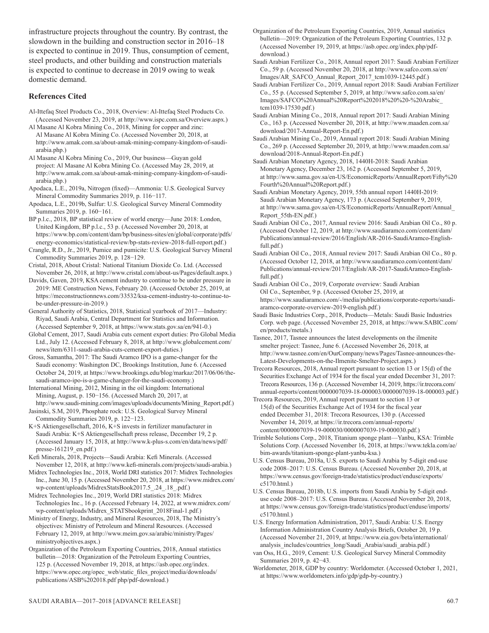infrastructure projects throughout the country. By contrast, the slowdown in the building and construction sector in 2016–18 is expected to continue in 2019. Thus, consumption of cement, steel products, and other building and construction materials is expected to continue to decrease in 2019 owing to weak domestic demand.

# **References Cited**

- Al-Ittefaq Steel Products Co., 2018, Overview: Al-Ittefaq Steel Products Co. (Accessed November 23, 2019, at http://www.ispc.com.sa/Overview.aspx.)
- Al Masane Al Kobra Mining Co., 2018, Mining for copper and zinc: Al Masane Al Kobra Mining Co. (Accessed November 20, 2018, at http://www.amak.com.sa/about-amak-mining-company-kingdom-of-saudiarabia.php.)
- Al Masane Al Kobra Mining Co., 2019, Our business—Guyan gold project: Al Masane Al Kobra Mining Co. (Accessed May 28, 2019, at http://www.amak.com.sa/about-amak-mining-company-kingdom-of-saudiarabia.php.)
- Apodaca, L.E., 2019a, Nitrogen (fixed)—Ammonia: U.S. Geological Survey Mineral Commodity Summaries 2019, p. 116−117.
- Apodaca, L.E., 2019b, Sulfur: U.S. Geological Survey Mineral Commodity Summaries 2019, p. 160−161.
- BP p.l.c., 2018, BP statistical review of world energy—June 2018: London, United Kingdom, BP p.l.c., 53 p. (Accessed November 20, 2018, at https://www.bp.com/content/dam/bp/business-sites/en/global/corporate/pdfs/ energy-economics/statistical-review/bp-stats-review-2018-full-report.pdf.)
- Crangle, R.D., Jr., 2019, Pumice and pumicite: U.S. Geological Survey Mineral Commodity Summaries 2019, p. 128−129.
- Cristal, 2018, About Cristal: National Titanium Dioxide Co. Ltd. (Accessed November 26, 2018, at http://www.cristal.com/about-us/Pages/default.aspx.)
- Davids, Gaven, 2019, KSA cement industry to continue to be under pressure in 2019: ME Construction News, February 20. (Accessed October 25, 2019, at https://meconstructionnews.com/33532/ksa-cement-industry-to-continue-tobe-under-pressure-in-2019.)
- General Authority of Statistics, 2018, Statistical yearbook of 2017—Industry: Riyad, Saudi Arabia, Central Department for Statistics and Information. (Accessed September 9, 2018, at https://www.stats.gov.sa/en/941-0.)
- Global Cement, 2017, Saudi Arabia cuts cement export duties: Pro Global Media Ltd., July 12. (Accessed February 8, 2018, at http://www.globalcement.com/ news/item/6311-saudi-arabia-cuts-cement-export-duties.)
- Gross, Samantha, 2017: The Saudi Aramco IPO is a game-changer for the Saudi economy: Washington DC, Brookings Institution, June 6. (Accessed October 24, 2019, at https://www.brookings.edu/blog/markaz/2017/06/06/thesaudi-aramco-ipo-is-a-game-changer-for-the-saudi-economy.)
- International Mining, 2012, Mining in the oil kingdom: International Mining, August, p. 150−156. (Accessed March 20, 2017, at http://www.saudi-mining.com/images/uploads/documents/Mining\_Report.pdf.)
- Jasinski, S.M, 2019, Phosphate rock: U.S. Geological Survey Mineral Commodity Summaries 2019, p. 122−123.
- K+S Aktiengesellschaft, 2016, K+S invests in fertilizer manufacturer in Saudi Arabia: K+S Aktiengesellschaft press release, December 19, 2 p. (Accessed January 15, 2018, at http://www.k-plus-s.com/en/data/news/pdf/ presse-161219\_en.pdf.)
- Kefi Minerals, 2018, Projects—Saudi Arabia: Kefi Minerals. (Accessed November 12, 2018, at http://www.kefi-minerals.com/projects/saudi-arabia.)
- Midrex Technologies Inc., 2018, World DRI statistics 2017: Midrex Technologies Inc., June 30, 15 p. (Accessed November 20, 2018, at https://www.midrex.com/ wp-content/uploads/MidrexStatsBook2017.5\_.24\_.18\_.pdf.)
- Midrex Technologies Inc., 2019, World DRI statistics 2018: Midrex Technologies Inc., 16 p. (Accessed February 14, 2022, at www.midrex.com/ wp-content/uploads/Midrex\_STATSbookprint\_2018Final-1.pdf.)
- Ministry of Energy, Industry, and Mineral Resources, 2018, The Ministry's objectives: Ministry of Petroleum and Mineral Resources. (Accessed February 12, 2019, at http://www.meim.gov.sa/arabic/ministry/Pages/ ministryobjectives.aspx.)

Organization of the Petroleum Exporting Countries, 2018, Annual statistics bulletin—2018: Organization of the Petroleum Exporting Countries, 125 p. (Accessed November 19, 2018, at https://asb.opec.org/index. https://www.opec.org/opec\_web/static\_files\_project/media/downloads/ publications/ASB%202018.pdf php/pdf-download.)

- Organization of the Petroleum Exporting Countries, 2019, Annual statistics bulletin—2019: Organization of the Petroleum Exporting Countries, 132 p. (Accessed November 19, 2019, at https://asb.opec.org/index.php/pdfdownload.)
- Saudi Arabian Fertilizer Co., 2018, Annual report 2017: Saudi Arabian Fertilizer Co., 59 p. (Accessed November 20, 2018, at http://www.safco.com.sa/en/ Images/AR\_SAFCO\_Annual\_Report\_2017\_tcm1039-12445.pdf.)
- Saudi Arabian Fertilizer Co., 2019, Annual report 2018: Saudi Arabian Fertilizer Co., 55 p. (Accessed September 5, 2019, at http://www.safco.com.sa/en/ Images/SAFCO%20Annual%20Report%202018%20%20-%20Arabic\_ tcm1039-17530.pdf.)
- Saudi Arabian Mining Co., 2018, Annual report 2017: Saudi Arabian Mining Co., 163 p. (Accessed November 20, 2018, at http://www.maaden.com.sa/ download/2017-Annual-Report-En.pdf.)
- Saudi Arabian Mining Co., 2019, Annual report 2018: Saudi Arabian Mining Co., 269 p. (Accessed September 20, 2019, at http://www.maaden.com.sa/ download/2018-Annual-Report-En.pdf.)
- Saudi Arabian Monetary Agency, 2018, 1440H-2018: Saudi Arabian Monetary Agency, December 23, 162 p. (Accessed September 5, 2019, at http://www.sama.gov.sa/en-US/EconomicReports/AnnualReport/Fifty%20 Fourth%20Annual%20Report.pdf.)
- Saudi Arabian Monetary Agency, 2019, 55th annual report 1440H-2019: Saudi Arabian Monetary Agency, 173 p. (Accessed September 9, 2019, at http://www.sama.gov.sa/en-US/EconomicReports/AnnualReport/Annual Report\_55th-EN.pdf.)
- Saudi Arabian Oil Co., 2017, Annual review 2016: Saudi Arabian Oil Co., 80 p. (Accessed October 12, 2019, at http://www.saudiaramco.com/content/dam/ Publications/annual-review/2016/English/AR-2016-SaudiAramco-Englishfull.pdf.)
- Saudi Arabian Oil Co., 2018, Annual review 2017: Saudi Arabian Oil Co., 80 p. (Accessed October 12, 2018, at http://www.saudiaramco.com/content/dam/ Publications/annual-review/2017/English/AR-2017-SaudiAramco-Englishfull.pdf.)
- Saudi Arabian Oil Co., 2019, Corporate overview: Saudi Arabian Oil Co., September, 9 p. (Accessed October 25, 2019, at https://www.saudiaramco.com/-/media/publications/corporate-reports/saudiaramco-corporate-overview-2019-english.pdf.)
- Saudi Basic Industries Corp., 2018, Products—Metals: Saudi Basic Industries Corp. web page. (Accessed November 25, 2018, at https://www.SABIC.com/ en/products/metals.)
- Tasnee, 2017, Tasnee announces the latest developments on the ilmenite smelter project: Tasnee, June 6. (Accessed November 26, 2018, at http://www.tasnee.com/en/OurCompany/news/Pages/Tasnee-announces-the-Latest-Developments-on-the-Ilmenite-Smelter-Project.aspx.)
- Trecora Resources, 2018, Annual report pursuant to section 13 or 15(d) of the Securities Exchange Act of 1934 for the fiscal year ended December 31, 2017: Trecora Resources, 136 p. (Accessed November 14, 2019, https://ir.trecora.com/ annual-reports/content/0000007039-18-000003/0000007039-18-000003.pdf.)
- Trecora Resources, 2019, Annual report pursuant to section 13 or 15(d) of the Securities Exchange Act of 1934 for the fiscal year ended December 31, 2018: Trecora Resources, 130 p. (Accessed November 14, 2019, at https://ir.trecora.com/annual-reports/ content/0000007039-19-000030/0000007039-19-000030.pdf.)
- Trimble Solutions Corp., 2018, Titanium sponge plant—Yanbu, KSA: Trimble Solutions Corp. (Accessed November 16, 2018, at https://www.tekla.com/ae/ bim-awards/titanium-sponge-plant-yanbu-ksa.)
- U.S. Census Bureau, 2018a, U.S. exports to Saudi Arabia by 5-digit end-use code 2008–2017: U.S. Census Bureau. (Accessed November 20, 2018, at https://www.census.gov/foreign-trade/statistics/product/enduse/exports/ c5170.html.)
- U.S. Census Bureau, 2018b, U.S. imports from Saudi Arabia by 5-digit enduse code 2008–2017: U.S. Census Bureau. (Accessed November 20, 2018, at https://www.census.gov/foreign-trade/statistics/product/enduse/imports/ c5170.html.)
- U.S. Energy Information Administration, 2017, Saudi Arabia: U.S. Energy Information Administration Country Analysis Briefs, October 20, 19 p. (Accessed November 21, 2019, at https://www.eia.gov/beta/international/ analysis\_includes/countries\_long/Saudi\_Arabia/saudi\_arabia.pdf.)
- van Oss, H.G., 2019, Cement: U.S. Geological Survey Mineral Commodity Summaries 2019, p. 42−43.
- Worldometer, 2018, GDP by country: Worldometer. (Accessed October 1, 2021, at https://www.worldometers.info/gdp/gdp-by-country.)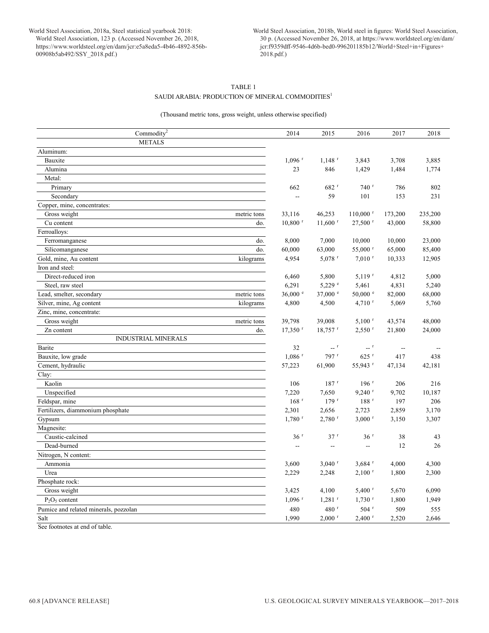World Steel Association, 2018b, World steel in figures: World Steel Association, 30 p. (Accessed November 26, 2018, at https://www.worldsteel.org/en/dam/ jcr:f9359dff-9546-4d6b-bed0-996201185b12/World+Steel+in+Figures+ 2018.pdf.)

# TABLE 1 SAUDI ARABIA: PRODUCTION OF MINERAL COMMODITIES $^{\rm l}$

# (Thousand metric tons, gross weight, unless otherwise specified)

| Commodity <sup>2</sup>                  | 2014                     | 2015                                 | 2016                   | 2017                     | 2018    |
|-----------------------------------------|--------------------------|--------------------------------------|------------------------|--------------------------|---------|
| <b>METALS</b>                           |                          |                                      |                        |                          |         |
| Aluminum:                               |                          |                                      |                        |                          |         |
| Bauxite                                 | $1,096$ <sup>r</sup>     | $1,148$ <sup>r</sup>                 | 3,843                  | 3,708                    | 3,885   |
| Alumina                                 | 23                       | 846                                  | 1,429                  | 1,484                    | 1,774   |
| Metal:                                  |                          |                                      |                        |                          |         |
| Primary                                 | 662                      | 682 r                                | $740$ <sup>r</sup>     | 786                      | 802     |
| Secondary                               | --                       | 59                                   | 101                    | 153                      | 231     |
| Copper, mine, concentrates:             |                          |                                      |                        |                          |         |
| Gross weight<br>metric tons             | 33,116                   | 46,253                               | $110,000$ <sup>r</sup> | 173,200                  | 235,200 |
| Cu content<br>do.                       | $10,800$ <sup>r</sup>    | $11,600$ <sup>r</sup>                | $27,500$ <sup>r</sup>  | 43,000                   | 58,800  |
| Ferroalloys:                            |                          |                                      |                        |                          |         |
| do.<br>Ferromanganese                   | 8,000                    | 7,000                                | 10,000                 | 10,000                   | 23,000  |
| do.<br>Silicomanganese                  | 60,000                   | 63,000                               | 55,000 r               | 65,000                   | 85,400  |
| Gold, mine, Au content<br>kilograms     | 4,954                    | $5,078$ <sup>r</sup>                 | $7,010$ <sup>r</sup>   | 10,333                   | 12,905  |
| Iron and steel:                         |                          |                                      |                        |                          |         |
| Direct-reduced iron                     | 6,460                    | 5,800                                | $5,119$ <sup>r</sup>   | 4,812                    | 5,000   |
| Steel, raw steel                        | 6,291                    | $5,229$ $^{\circ}$                   | 5,461                  | 4,831                    | 5,240   |
| Lead, smelter, secondary<br>metric tons | 36,000 e                 | 37,000 e                             | $50,000$ $e$           | 82,000                   | 68,000  |
| Silver, mine, Ag content<br>kilograms   | 4,800                    | 4,500                                | $4,710$ <sup>r</sup>   | 5,069                    | 5,760   |
| Zinc, mine, concentrate:                |                          |                                      |                        |                          |         |
| Gross weight<br>metric tons             | 39,798                   | 39,008                               | $5,100$ <sup>r</sup>   | 43,574                   | 48,000  |
| Zn content<br>do.                       | $17,350$ <sup>r</sup>    | $18,757$ <sup>r</sup>                | $2,550$ <sup>r</sup>   | 21,800                   | 24,000  |
| <b>INDUSTRIAL MINERALS</b>              |                          |                                      |                        |                          |         |
| Barite                                  | 32                       | $\mathbb{L}_{\mathbb{H}}$ . $\Gamma$ | $ r$                   | $\overline{\phantom{a}}$ |         |
| Bauxite, low grade                      | $1,086$ <sup>r</sup>     | $797$ <sup>r</sup>                   | $625$ <sup>r</sup>     | 417                      | 438     |
| Cement, hydraulic                       | 57,223                   | 61,900                               | 55,943 <sup>r</sup>    | 47,134                   | 42,181  |
| Clay:                                   |                          |                                      |                        |                          |         |
| Kaolin                                  | 106                      | $187$ <sup>r</sup>                   | 196r                   | 206                      | 216     |
| Unspecified                             | 7,220                    | 7,650                                | $9,240$ <sup>r</sup>   | 9,702                    | 10,187  |
| Feldspar, mine                          | $168$ <sup>r</sup>       | 179r                                 | $188$ <sup>r</sup>     | 197                      | 206     |
| Fertilizers, diammonium phosphate       | 2,301                    | 2,656                                | 2,723                  | 2,859                    | 3,170   |
| Gypsum                                  | $1,780$ <sup>r</sup>     | $2,780$ <sup>r</sup>                 | $3,000$ <sup>r</sup>   | 3,150                    | 3,307   |
| Magnesite:                              |                          |                                      |                        |                          |         |
| Caustic-calcined                        | 36 <sup>r</sup>          | $37$ <sup>r</sup>                    | 36 <sup>r</sup>        | 38                       | 43      |
| Dead-burned                             | $\overline{\phantom{a}}$ | $\overline{a}$                       | $\overline{a}$         | 12                       | 26      |
| Nitrogen, N content:                    |                          |                                      |                        |                          |         |
| Ammonia                                 | 3,600                    | $3,040$ <sup>r</sup>                 | $3,684$ <sup>r</sup>   | 4,000                    | 4,300   |
| Urea                                    | 2,229                    | 2,248                                | $2,100$ <sup>r</sup>   | 1,800                    | 2,300   |
| Phosphate rock:                         |                          |                                      |                        |                          |         |
| Gross weight                            | 3,425                    | 4,100                                | $5,400$ <sup>r</sup>   | 5,670                    | 6,090   |
| $P_2O_5$ content                        | $1,096$ <sup>r</sup>     | $1,281$ <sup>r</sup>                 | $1,730$ <sup>r</sup>   | 1,800                    | 1,949   |
| Pumice and related minerals, pozzolan   | 480                      | $480$ <sup>r</sup>                   | $504$ <sup>r</sup>     | 509                      | 555     |
| Salt                                    | 1,990                    | $2,000$ <sup>r</sup>                 | $2,400$ <sup>r</sup>   | 2,520                    | 2,646   |
| San footwater of and of table           |                          |                                      |                        |                          |         |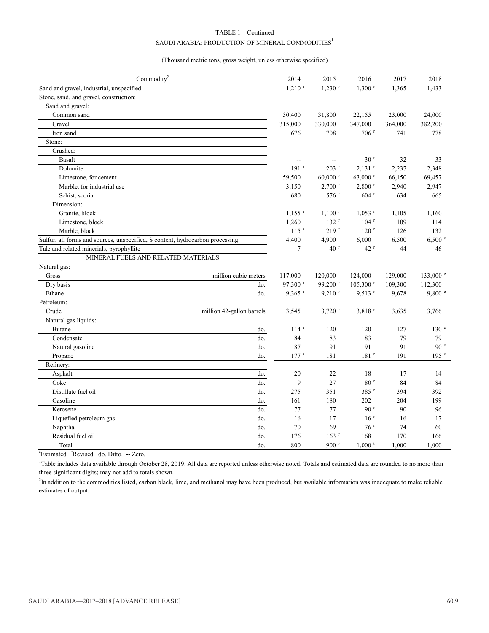# TABLE 1—Continued SAUDI ARABIA: PRODUCTION OF MINERAL COMMODITIES $^{\rm l}$

### (Thousand metric tons, gross weight, unless otherwise specified)

| Commodity $2$                                                                 | 2014                 | 2015                  | 2016                   | 2017    | 2018             |
|-------------------------------------------------------------------------------|----------------------|-----------------------|------------------------|---------|------------------|
| Sand and gravel, industrial, unspecified                                      | $1,210$ <sup>r</sup> | $1,230$ <sup>r</sup>  | $1,300$ <sup>r</sup>   | 1,365   | 1,433            |
| Stone, sand, and gravel, construction:                                        |                      |                       |                        |         |                  |
| Sand and gravel:                                                              |                      |                       |                        |         |                  |
| Common sand                                                                   | 30,400               | 31,800                | 22,155                 | 23,000  | 24,000           |
| Gravel                                                                        | 315,000              | 330,000               | 347,000                | 364,000 | 382,200          |
| Iron sand                                                                     | 676                  | 708                   | $706$ <sup>r</sup>     | 741     | 778              |
| Stone:                                                                        |                      |                       |                        |         |                  |
| Crushed:                                                                      |                      |                       |                        |         |                  |
| <b>Basalt</b>                                                                 |                      |                       | 30 <sup>r</sup>        | 32      | 33               |
| Dolomite                                                                      | $191$ <sup>r</sup>   | $203$ <sup>r</sup>    | $2,131$ <sup>r</sup>   | 2,237   | 2,348            |
| Limestone, for cement                                                         | 59,500               | $60,000$ <sup>r</sup> | 63,000 r               | 66,150  | 69,457           |
| Marble, for industrial use                                                    | 3,150                | $2,700$ <sup>r</sup>  | $2,800$ <sup>r</sup>   | 2,940   | 2,947            |
| Schist, scoria                                                                | 680                  | 576 <sup>r</sup>      | $604$ <sup>r</sup>     | 634     | 665              |
| Dimension:                                                                    |                      |                       |                        |         |                  |
| Granite, block                                                                | $1,155$ <sup>r</sup> | $1,100$ <sup>r</sup>  | $1,053$ <sup>r</sup>   | 1,105   | 1,160            |
| Limestone, block                                                              | 1,260                | 132 <sup>r</sup>      | $104$ <sup>r</sup>     | 109     | 114              |
| Marble, block                                                                 | $115$ <sup>r</sup>   | 219 <sup>r</sup>      | $120$ <sup>r</sup>     | 126     | 132              |
| Sulfur, all forms and sources, unspecified, S content, hydrocarbon processing | 4,400                | 4,900                 | 6,000                  | 6,500   | 6,500 °          |
| Talc and related minerials, pyrophyllite                                      | 7                    | 40 <sup>r</sup>       | 42r                    | 44      | 46               |
| MINERAL FUELS AND RELATED MATERIALS                                           |                      |                       |                        |         |                  |
| Natural gas:                                                                  |                      |                       |                        |         |                  |
| million cubic meters<br>Gross                                                 | 117,000              | 120,000               | 124,000                | 129,000 | 133,000 e        |
| Dry basis<br>do.                                                              | 97,300 <sup>r</sup>  | 99,200 <sup>r</sup>   | $105,300$ <sup>r</sup> | 109,300 | 112,300          |
| Ethane<br>do.                                                                 | $9,365$ <sup>r</sup> | $9,210$ <sup>r</sup>  | $9,513$ <sup>r</sup>   | 9,678   | 9,800 °          |
| Petroleum:                                                                    |                      |                       |                        |         |                  |
| Crude<br>million 42-gallon barrels                                            | 3,545                | $3,720$ <sup>r</sup>  | $3,818$ <sup>r</sup>   | 3,635   | 3,766            |
| Natural gas liquids:                                                          |                      |                       |                        |         |                  |
| Butane<br>do.                                                                 | $114$ <sup>r</sup>   | 120                   | 120                    | 127     | 130 <sup>e</sup> |
| Condensate<br>do.                                                             | 84                   | 83                    | 83                     | 79      | 79               |
| Natural gasoline<br>do.                                                       | 87                   | 91                    | 91                     | 91      | 90 <sup>e</sup>  |
| Propane<br>do.                                                                | 177r                 | 181                   | $181$ <sup>r</sup>     | 191     | 195 <sup>e</sup> |
| Refinery:                                                                     |                      |                       |                        |         |                  |
| Asphalt<br>do.                                                                | 20                   | 22                    | 18                     | 17      | 14               |
| Coke<br>do.                                                                   | 9                    | 27                    | $80$ $^{\rm r}$        | 84      | 84               |
| Distillate fuel oil<br>do.                                                    | 275                  | 351                   | 385 r                  | 394     | 392              |
| Gasoline<br>do.                                                               | 161                  | 180                   | 202                    | 204     | 199              |
| Kerosene<br>do.                                                               | 77                   | 77                    | 90 <sup>r</sup>        | 90      | 96               |
| Liquefied petroleum gas<br>do.                                                | 16                   | 17                    | 16 <sup>r</sup>        | 16      | 17               |
| Naphtha<br>do.                                                                | 70                   | 69                    | 76r                    | 74      | 60               |
| Residual fuel oil<br>do.                                                      | 176                  | $163$ <sup>r</sup>    | 168                    | 170     | 166              |
| do.<br>Total                                                                  | 800                  | 900 <sup>r</sup>      | $1,000$ <sup>t</sup>   | 1,000   | 1,000            |

<sup>e</sup>Estimated. <sup>r</sup>Revised. do. Ditto. -- Zero.

<sup>1</sup>Table includes data available through October 28, 2019. All data are reported unless otherwise noted. Totals and estimated data are rounded to no more than three significant digits; may not add to totals shown.

 ${}^{2}$ In addition to the commodities listed, carbon black, lime, and methanol may have been produced, but available information was inadequate to make reliable estimates of output.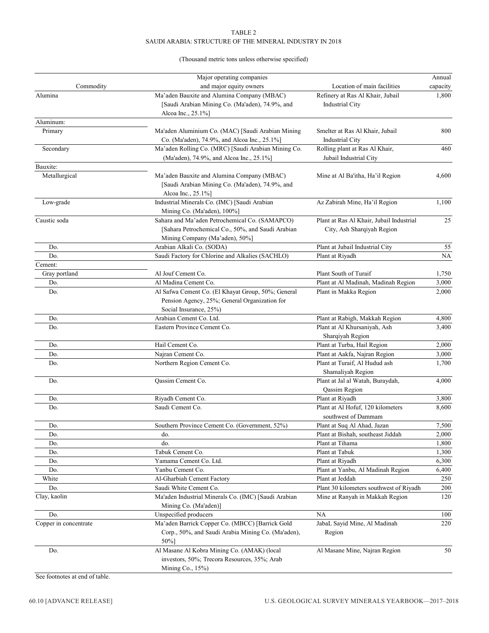# TABLE 2 SAUDI ARABIA: STRUCTURE OF THE MINERAL INDUSTRY IN 2018

# (Thousand metric tons unless otherwise specified)

|                       | Major operating companies                                                                                                             |                                                                        | Annual   |
|-----------------------|---------------------------------------------------------------------------------------------------------------------------------------|------------------------------------------------------------------------|----------|
| Commodity             | and major equity owners                                                                                                               | Location of main facilities                                            | capacity |
| Alumina               | Ma'aden Bauxite and Alumina Company (MBAC)<br>[Saudi Arabian Mining Co. (Ma'aden), 74.9%, and<br>Alcoa Inc., 25.1%]                   | Refinery at Ras Al Khair, Jubail<br>Industrial City                    | 1,800    |
| Aluminum:             |                                                                                                                                       |                                                                        |          |
| Primary               | Ma'aden Aluminium Co. (MAC) [Saudi Arabian Mining<br>Co. (Ma'aden), 74.9%, and Alcoa Inc., 25.1%]                                     | Smelter at Ras Al Khair, Jubail<br><b>Industrial City</b>              | 800      |
| Secondary             | Ma'aden Rolling Co. (MRC) [Saudi Arabian Mining Co.<br>(Ma'aden), 74.9%, and Alcoa Inc., 25.1%]                                       | Rolling plant at Ras Al Khair,<br>Jubail Industrial City               | 460      |
| Bauxite:              |                                                                                                                                       |                                                                        |          |
| Metallurgical         | Ma'aden Bauxite and Alumina Company (MBAC)<br>[Saudi Arabian Mining Co. (Ma'aden), 74.9%, and<br>Alcoa Inc., 25.1%]                   | Mine at Al Ba'itha, Ha'il Region                                       | 4,600    |
| Low-grade             | Industrial Minerals Co. (IMC) [Saudi Arabian<br>Mining Co. (Ma'aden), 100%]                                                           | Az Zabirah Mine, Ha'il Region                                          | 1,100    |
| Caustic soda          | Sahara and Ma'aden Petrochemical Co. (SAMAPCO)<br>[Sahara Petrochemical Co., 50%, and Saudi Arabian<br>Mining Company (Ma'aden), 50%] | Plant at Ras Al Khair, Jubail Industrial<br>City, Ash Sharqiyah Region | 25       |
| Do.                   | Arabian Alkali Co. (SODA)                                                                                                             | Plant at Jubail Industrial City                                        | 55       |
| Do.                   | Saudi Factory for Chlorine and Alkalies (SACHLO)                                                                                      | Plant at Riyadh                                                        | NA       |
| Cement:               |                                                                                                                                       |                                                                        |          |
| Gray portland         | Al Jouf Cement Co.                                                                                                                    | Plant South of Turaif                                                  | 1,750    |
| Do.                   | Al Madina Cement Co.                                                                                                                  | Plant at Al Madinah, Madinah Region                                    | 3,000    |
| Do.                   | Al Safwa Cement Co. (El Khayat Group, 50%; General<br>Pension Agency, 25%; General Organization for<br>Social Insurance, 25%)         | Plant in Makka Region                                                  | 2,000    |
| Do.                   | Arabian Cement Co. Ltd.                                                                                                               | Plant at Rabigh, Makkah Region                                         | 4,800    |
| Do.                   | Eastern Province Cement Co.                                                                                                           | Plant at Al Khursaniyah, Ash<br>Sharqiyah Region                       | 3,400    |
| Do.                   | Hail Cement Co.                                                                                                                       | Plant at Turba, Hail Region                                            | 2,000    |
| Do.                   | Najran Cement Co.                                                                                                                     | Plant at Aakfa, Najran Region                                          | 3,000    |
| Do.                   | Northern Region Cement Co.                                                                                                            | Plant at Turaif, Al Hudud ash<br>Shamaliyah Region                     | 1,700    |
| Do.                   | Qassim Cement Co.                                                                                                                     | Plant at Jal al Watah, Buraydah,<br>Qassim Region                      | 4,000    |
| Do.                   | Riyadh Cement Co.                                                                                                                     | Plant at Riyadh                                                        | 3,800    |
| Do.                   | Saudi Cement Co.                                                                                                                      | Plant at Al Hofuf, 120 kilometers<br>southwest of Dammam               | 8,600    |
| Do.                   | Southern Province Cement Co. (Government, 52%)                                                                                        | Plant at Suq Al Ahad, Jazan                                            | 7,500    |
| Do.                   | do.                                                                                                                                   | Plant at Bishah, southeast Jiddah                                      | 2,000    |
| Do.                   | do.                                                                                                                                   | Plant at Tihama                                                        | 1,800    |
| Do.                   | Tabuk Cement Co.                                                                                                                      | Plant at Tabuk                                                         | 1,300    |
| Do.                   | Yamama Cement Co. Ltd.                                                                                                                | Plant at Riyadh                                                        | 6,300    |
| Do.                   | Yanbu Cement Co.                                                                                                                      | Plant at Yanbu, Al Madinah Region                                      | 6,400    |
| White                 | Al-Gharbiah Cement Factory                                                                                                            | Plant at Jeddah                                                        | 250      |
| Do.                   | Saudi White Cement Co.                                                                                                                | Plant 30 kilometers southwest of Riyadh                                | 200      |
| Clay, kaolin          | Ma'aden Industrial Minerals Co. (IMC) [Saudi Arabian<br>Mining Co. (Ma'aden)]                                                         | Mine at Ranyah in Makkah Region                                        | 120      |
| Do.                   | Unspecified producers                                                                                                                 | NA                                                                     | 100      |
| Copper in concentrate | Ma'aden Barrick Copper Co. (MBCC) [Barrick Gold<br>Corp., 50%, and Saudi Arabia Mining Co. (Ma'aden),<br>50%]                         | JabaL Sayid Mine, Al Madinah<br>Region                                 | 220      |
| Do.                   | Al Masane Al Kobra Mining Co. (AMAK) (local<br>investors, 50%; Trecora Resources, 35%; Arab<br>Mining Co., 15%)                       | Al Masane Mine, Najran Region                                          | 50       |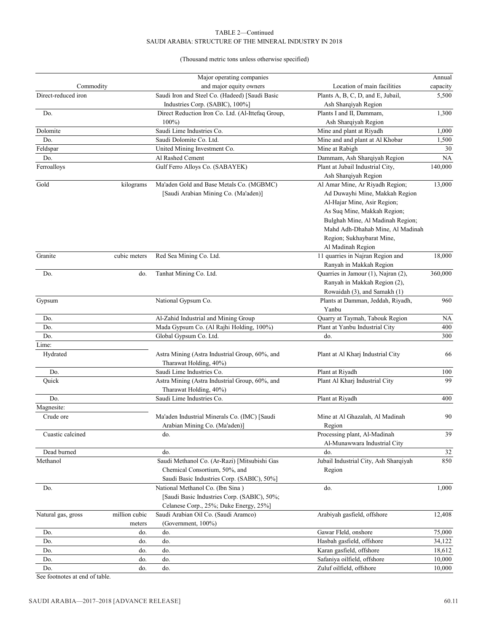# TABLE 2—Continued SAUDI ARABIA: STRUCTURE OF THE MINERAL INDUSTRY IN 2018

# (Thousand metric tons unless otherwise specified)

|                     |               | Major operating companies                                                      |                                       | Annual   |
|---------------------|---------------|--------------------------------------------------------------------------------|---------------------------------------|----------|
| Commodity           |               | and major equity owners                                                        | Location of main facilities           | capacity |
| Direct-reduced iron |               | Saudi Iron and Steel Co. (Hadeed) [Saudi Basic                                 | Plants A, B, C, D, and E, Jubail,     | 5,500    |
|                     |               | Industries Corp. (SABIC), 100%]                                                | Ash Sharqiyah Region                  |          |
| Do.                 |               | Direct Reduction Iron Co. Ltd. (Al-Ittefaq Group,                              | Plants I and II, Dammam,              | 1,300    |
|                     |               | $100\%$                                                                        | Ash Sharqiyah Region                  |          |
| Dolomite            |               | Saudi Lime Industries Co.                                                      | Mine and plant at Riyadh              | 1,000    |
| Do.                 |               | Saudi Dolomite Co. Ltd.                                                        | Mine and and plant at Al Khobar       | 1,500    |
| Feldspar            |               | United Mining Investment Co.                                                   | Mine at Rabigh                        | 30       |
| Do.                 |               | Al Rashed Cement                                                               | Dammam, Ash Sharqiyah Region          | NA       |
| Ferroalloys         |               | Gulf Ferro Alloys Co. (SABAYEK)                                                | Plant at Jubail Industrial City,      | 140,000  |
|                     |               |                                                                                | Ash Sharqiyah Region                  |          |
| Gold                | kilograms     | Ma'aden Gold and Base Metals Co. (MGBMC)                                       | Al Amar Mine, Ar Riyadh Region;       | 13,000   |
|                     |               | [Saudi Arabian Mining Co. (Ma'aden)]                                           | Ad Duwayhi Mine, Makkah Region        |          |
|                     |               |                                                                                | Al-Hajar Mine, Asir Region;           |          |
|                     |               |                                                                                | As Suq Mine, Makkah Region;           |          |
|                     |               |                                                                                | Bulghah Mine, Al Madinah Region;      |          |
|                     |               |                                                                                | Mahd Adh-Dhahab Mine, Al Madinah      |          |
|                     |               |                                                                                | Region; Sukhaybarat Mine,             |          |
|                     |               |                                                                                | Al Madinah Region                     |          |
| Granite             | cubic meters  | Red Sea Mining Co. Ltd.                                                        | 11 quarries in Najran Region and      | 18,000   |
|                     |               |                                                                                | Ranyah in Makkah Region               |          |
| Do.                 | do.           | Tanhat Mining Co. Ltd.                                                         | Quarries in Jamour (1), Najran (2),   | 360,000  |
|                     |               |                                                                                | Ranyah in Makkah Region (2),          |          |
|                     |               |                                                                                | Rowaidah (3), and Samakh (1)          |          |
| Gypsum              |               | National Gypsum Co.                                                            | Plants at Damman, Jeddah, Riyadh,     | 960      |
|                     |               |                                                                                | Yanbu                                 |          |
| Do.                 |               | Al-Zahid Industrial and Mining Group                                           | Quarry at Taymah, Tabouk Region       | NA       |
| Do.                 |               | Mada Gypsum Co. (Al Rajhi Holding, 100%)                                       | Plant at Yanbu Industrial City        | 400      |
| Do.                 |               | Global Gypsum Co. Ltd.                                                         | do.                                   | 300      |
| Lime:               |               |                                                                                |                                       |          |
| Hydrated            |               | Astra Mining (Astra Industrial Group, 60%, and                                 | Plant at Al Kharj Industrial City     | 66       |
|                     |               | Tharawat Holding, 40%)                                                         |                                       |          |
| Do.                 |               | Saudi Lime Industries Co.                                                      | Plant at Riyadh                       | 100      |
| Quick               |               | Astra Mining (Astra Industrial Group, 60%, and                                 | Plant Al Kharj Industrial City        | 99       |
|                     |               | Tharawat Holding, 40%)                                                         |                                       |          |
| Do.                 |               | Saudi Lime Industries Co.                                                      | Plant at Riyadh                       | 400      |
| Magnesite:          |               |                                                                                |                                       |          |
| Crude ore           |               | Ma'aden Industrial Minerals Co. (IMC) [Saudi                                   | Mine at Al Ghazalah, Al Madinah       | 90       |
|                     |               | Arabian Mining Co. (Ma'aden)]                                                  | Region                                |          |
| Cuastic calcined    |               | do.                                                                            | Processing plant, Al-Madinah          | 39       |
|                     |               |                                                                                | Al-Munawwara Industrial City          |          |
| Dead burned         |               | do.                                                                            | do.                                   | 32       |
| Methanol            |               | Saudi Methanol Co. (Ar-Razi) [Mitsubishi Gas                                   | Jubail Industrial City, Ash Sharqiyah | 850      |
|                     |               | Chemical Consortium, 50%, and                                                  | Region                                |          |
|                     |               |                                                                                |                                       |          |
|                     |               | Saudi Basic Industries Corp. (SABIC), 50%]<br>National Methanol Co. (Ibn Sina) | do.                                   | 1,000    |
| Do.                 |               |                                                                                |                                       |          |
|                     |               | [Saudi Basic Industries Corp. (SABIC), 50%;                                    |                                       |          |
|                     |               | Celanese Corp., 25%; Duke Energy, 25%]                                         |                                       |          |
| Natural gas, gross  | million cubic | Saudi Arabian Oil Co. (Saudi Aramco)                                           | Arabiyah gasfield, offshore           | 12,408   |
|                     | meters        | (Government, 100%)                                                             |                                       |          |
| Do.                 | do.           | do.                                                                            | Gawar Fleld, onshore                  | 75,000   |
| Do.                 | do.           | do.                                                                            | Hasbah gasfield, offshore             | 34,122   |
| Do.                 | do.           | do.                                                                            | Karan gasfield, offshore              | 18,612   |
| Do.                 | do.           | do.                                                                            | Safaniya oilfield, offshore           | 10,000   |
| Do.                 | do.           | do.                                                                            | Zuluf oilfield, offshore              | 10,000   |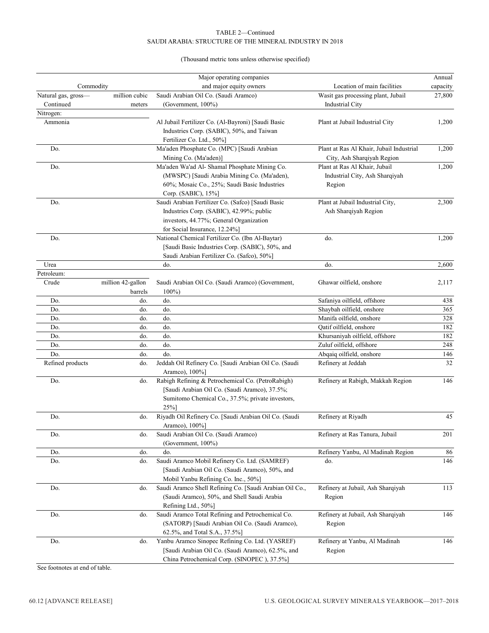# TABLE 2—Continued SAUDI ARABIA: STRUCTURE OF THE MINERAL INDUSTRY IN 2018

# (Thousand metric tons unless otherwise specified)

|                     |                   | Major operating companies                               |                                          | Annual   |
|---------------------|-------------------|---------------------------------------------------------|------------------------------------------|----------|
| Commodity           |                   | and major equity owners                                 | Location of main facilities              | capacity |
| Natural gas, gross- | million cubic     | Saudi Arabian Oil Co. (Saudi Aramco)                    | Wasit gas processing plant, Jubail       | 27,800   |
| Continued           | meters            | (Government, 100%)                                      | Industrial City                          |          |
| Nitrogen:           |                   |                                                         |                                          |          |
| Ammonia             |                   | Al Jubail Fertilizer Co. (Al-Bayroni) [Saudi Basic      | Plant at Jubail Industrial City          | 1,200    |
|                     |                   | Industries Corp. (SABIC), 50%, and Taiwan               |                                          |          |
|                     |                   | Fertilizer Co. Ltd., 50%]                               |                                          |          |
| Do.                 |                   | Ma'aden Phosphate Co. (MPC) [Saudi Arabian              | Plant at Ras Al Khair, Jubail Industrial | 1,200    |
|                     |                   | Mining Co. (Ma'aden)]                                   | City, Ash Sharqiyah Region               |          |
| Do.                 |                   | Ma'aden Wa'ad Al- Shamal Phosphate Mining Co.           | Plant at Ras Al Khair, Jubail            | 1,200    |
|                     |                   | (MWSPC) [Saudi Arabia Mining Co. (Ma'aden),             | Industrial City, Ash Sharqiyah           |          |
|                     |                   | 60%; Mosaic Co., 25%; Saudi Basic Industries            | Region                                   |          |
|                     |                   | Corp. (SABIC), 15%]                                     |                                          |          |
| Do.                 |                   | Saudi Arabian Fertilizer Co. (Safco) [Saudi Basic       | Plant at Jubail Industrial City,         | 2,300    |
|                     |                   | Industries Corp. (SABIC), 42.99%; public                | Ash Sharqiyah Region                     |          |
|                     |                   | investors, 44.77%; General Organization                 |                                          |          |
|                     |                   | for Social Insurance, 12.24%]                           |                                          |          |
| Do.                 |                   | National Chemical Fertilizer Co. (Ibn Al-Baytar)        | do.                                      | 1,200    |
|                     |                   | [Saudi Basic Industries Corp. (SABIC), 50%, and         |                                          |          |
|                     |                   | Saudi Arabian Fertilizer Co. (Safco), 50%]              |                                          |          |
| Urea                |                   | do.                                                     | do.                                      | 2,600    |
| Petroleum:          |                   |                                                         |                                          |          |
| Crude               | million 42-gallon | Saudi Arabian Oil Co. (Saudi Aramco) (Government,       | Ghawar oilfield, onshore                 | 2,117    |
|                     | barrels           | 100%                                                    |                                          |          |
| Do.                 | do.               | do.                                                     | Safaniya oilfield, offshore              | 438      |
| Do.                 | do.               | do.                                                     | Shaybah oilfield, onshore                | 365      |
| Do.                 | do.               | do.                                                     | Manifa oilfield, onshore                 | 328      |
| Do.                 | do.               | do.                                                     | Qatif oilfield, onshore                  | 182      |
| Do.                 | do.               | do.                                                     | Khursaniyah oilfield, offshore           | 182      |
| Do.                 | do.               | do.                                                     | Zuluf oilfield, offshore                 | 248      |
| Do.                 | do.               | do.                                                     | Abqaiq oilfield, onshore                 | 146      |
| Refined products    | do.               | Jeddah Oil Refinery Co. [Saudi Arabian Oil Co. (Saudi   | Refinery at Jeddah                       | 32       |
|                     |                   | Aramco), 100%]                                          |                                          |          |
| Do.                 | do.               | Rabigh Refining & Petrochemical Co. (PetroRabigh)       | Refinery at Rabigh, Makkah Region        | 146      |
|                     |                   | [Saudi Arabian Oil Co. (Saudi Aramco), 37.5%;           |                                          |          |
|                     |                   | Sumitomo Chemical Co., 37.5%; private investors,        |                                          |          |
|                     |                   | 25%]                                                    |                                          |          |
| Do.                 | do.               | Riyadh Oil Refinery Co. [Saudi Arabian Oil Co. (Saudi   | Refinery at Riyadh                       | 45       |
|                     |                   | Aramco), 100%]                                          |                                          |          |
| Do.                 | do.               | Saudi Arabian Oil Co. (Saudi Aramco)                    | Refinery at Ras Tanura, Jubail           | 201      |
|                     |                   | (Government, 100%)                                      |                                          |          |
|                     | do.               | do.                                                     |                                          | 86       |
| Do.                 |                   |                                                         | Refinery Yanbu, Al Madinah Region        |          |
| Do.                 | do.               | Saudi Aramco Mobil Refinery Co. Ltd. (SAMREF)           | do.                                      | 146      |
|                     |                   | [Saudi Arabian Oil Co. (Saudi Aramco), 50%, and         |                                          |          |
|                     |                   | Mobil Yanbu Refining Co. Inc., 50%]                     |                                          |          |
| Do.                 | do.               | Saudi Aramco Shell Refining Co. [Saudi Arabian Oil Co., | Refinery at Jubail, Ash Sharqiyah        | 113      |
|                     |                   | (Saudi Aramco), 50%, and Shell Saudi Arabia             | Region                                   |          |
|                     |                   | Refining Ltd., 50%]                                     |                                          |          |
| Do.                 | do.               | Saudi Aramco Total Refining and Petrochemical Co.       | Refinery at Jubail, Ash Sharqiyah        | 146      |
|                     |                   | (SATORP) [Saudi Arabian Oil Co. (Saudi Aramco),         | Region                                   |          |
|                     |                   | 62.5%, and Total S.A., 37.5%]                           |                                          |          |
| Do.                 | do.               | Yanbu Aramco Sinopec Refining Co. Ltd. (YASREF)         | Refinery at Yanbu, Al Madinah            | 146      |
|                     |                   | [Saudi Arabian Oil Co. (Saudi Aramco), 62.5%, and       | Region                                   |          |
|                     |                   | China Petrochemical Corp. (SINOPEC), 37.5%]             |                                          |          |